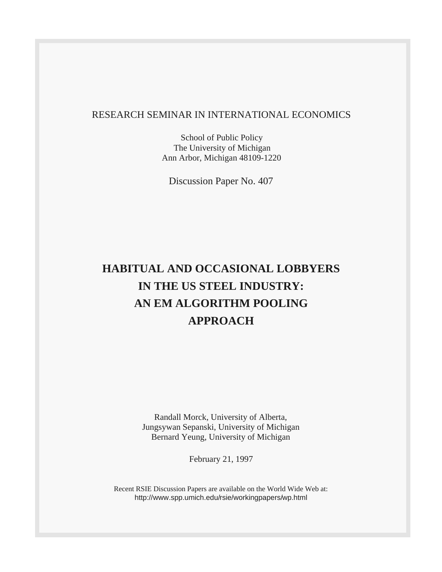#### RESEARCH SEMINAR IN INTERNATIONAL ECONOMICS

School of Public Policy The University of Michigan Ann Arbor, Michigan 48109-1220

Discussion Paper No. 407

# **HABITUAL AND OCCASIONAL LOBBYERS IN THE US STEEL INDUSTRY: AN EM ALGORITHM POOLING APPROACH**

Randall Morck, University of Alberta, Jungsywan Sepanski, University of Michigan Bernard Yeung, University of Michigan

February 21, 1997

Recent RSIE Discussion Papers are available on the World Wide Web at: http://www.spp.umich.edu/rsie/workingpapers/wp.html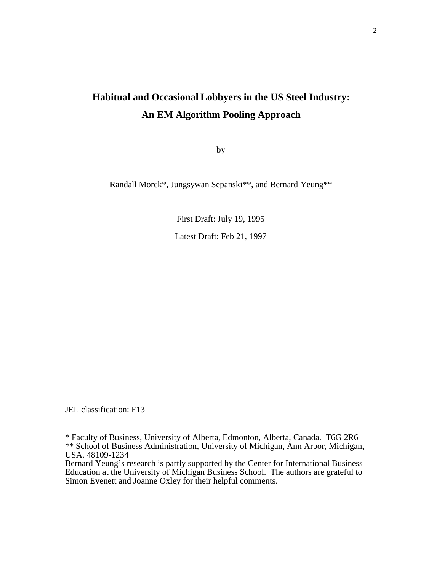## **Habitual and Occasional Lobbyers in the US Steel Industry: An EM Algorithm Pooling Approach**

by

Randall Morck\*, Jungsywan Sepanski\*\*, and Bernard Yeung\*\*

First Draft: July 19, 1995 Latest Draft: Feb 21, 1997

JEL classification: F13

\* Faculty of Business, University of Alberta, Edmonton, Alberta, Canada. T6G 2R6 \*\* School of Business Administration, University of Michigan, Ann Arbor, Michigan, USA. 48109-1234

Bernard Yeung's research is partly supported by the Center for International Business Education at the University of Michigan Business School. The authors are grateful to Simon Evenett and Joanne Oxley for their helpful comments.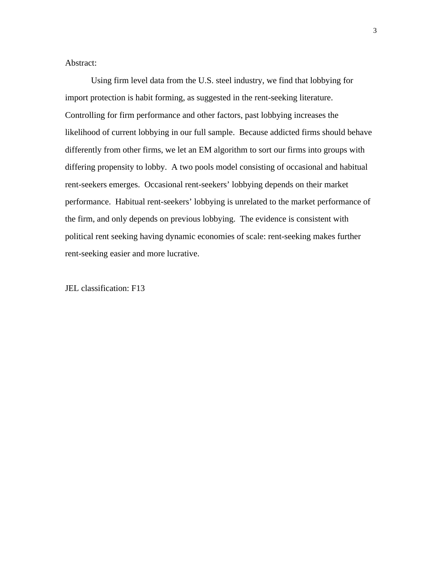Abstract:

Using firm level data from the U.S. steel industry, we find that lobbying for import protection is habit forming, as suggested in the rent-seeking literature. Controlling for firm performance and other factors, past lobbying increases the likelihood of current lobbying in our full sample. Because addicted firms should behave differently from other firms, we let an EM algorithm to sort our firms into groups with differing propensity to lobby. A two pools model consisting of occasional and habitual rent-seekers emerges. Occasional rent-seekers' lobbying depends on their market performance. Habitual rent-seekers' lobbying is unrelated to the market performance of the firm, and only depends on previous lobbying. The evidence is consistent with political rent seeking having dynamic economies of scale: rent-seeking makes further rent-seeking easier and more lucrative.

JEL classification: F13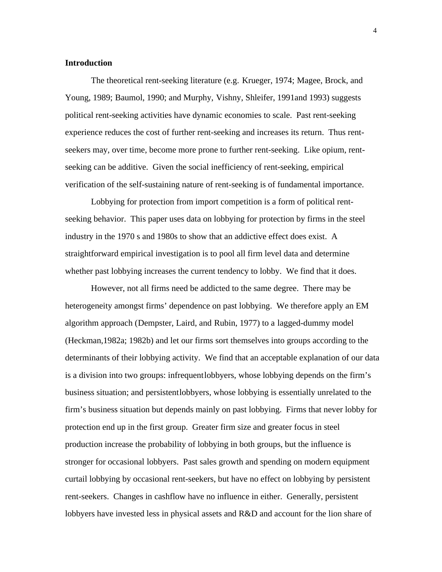#### **Introduction**

The theoretical rent-seeking literature (e.g. Krueger, 1974; Magee, Brock, and Young, 1989; Baumol, 1990; and Murphy, Vishny, Shleifer, 1991and 1993) suggests political rent-seeking activities have dynamic economies to scale. Past rent-seeking experience reduces the cost of further rent-seeking and increases its return. Thus rentseekers may, over time, become more prone to further rent-seeking. Like opium, rentseeking can be additive. Given the social inefficiency of rent-seeking, empirical verification of the self-sustaining nature of rent-seeking is of fundamental importance.

Lobbying for protection from import competition is a form of political rentseeking behavior. This paper uses data on lobbying for protection by firms in the steel industry in the 1970 s and 1980s to show that an addictive effect does exist. A straightforward empirical investigation is to pool all firm level data and determine whether past lobbying increases the current tendency to lobby. We find that it does.

However, not all firms need be addicted to the same degree. There may be heterogeneity amongst firms' dependence on past lobbying. We therefore apply an EM algorithm approach (Dempster, Laird, and Rubin, 1977) to a lagged-dummy model (Heckman,1982a; 1982b) and let our firms sort themselves into groups according to the determinants of their lobbying activity. We find that an acceptable explanation of our data is a division into two groups: infrequent lobbyers, whose lobbying depends on the firm's business situation; and persistent lobbyers, whose lobbying is essentially unrelated to the firm's business situation but depends mainly on past lobbying. Firms that never lobby for protection end up in the first group. Greater firm size and greater focus in steel production increase the probability of lobbying in both groups, but the influence is stronger for occasional lobbyers. Past sales growth and spending on modern equipment curtail lobbying by occasional rent-seekers, but have no effect on lobbying by persistent rent-seekers. Changes in cashflow have no influence in either. Generally, persistent lobbyers have invested less in physical assets and R&D and account for the lion share of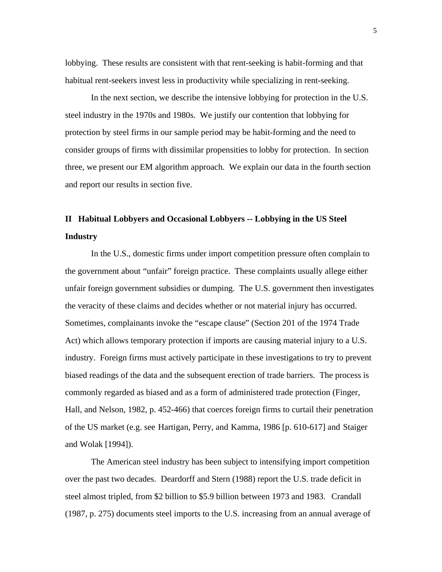lobbying. These results are consistent with that rent-seeking is habit-forming and that habitual rent-seekers invest less in productivity while specializing in rent-seeking.

In the next section, we describe the intensive lobbying for protection in the U.S. steel industry in the 1970s and 1980s. We justify our contention that lobbying for protection by steel firms in our sample period may be habit-forming and the need to consider groups of firms with dissimilar propensities to lobby for protection. In section three, we present our EM algorithm approach. We explain our data in the fourth section and report our results in section five.

### **II Habitual Lobbyers and Occasional Lobbyers -- Lobbying in the US Steel Industry**

In the U.S., domestic firms under import competition pressure often complain to the government about "unfair" foreign practice. These complaints usually allege either unfair foreign government subsidies or dumping. The U.S. government then investigates the veracity of these claims and decides whether or not material injury has occurred. Sometimes, complainants invoke the "escape clause" (Section 201 of the 1974 Trade Act) which allows temporary protection if imports are causing material injury to a U.S. industry. Foreign firms must actively participate in these investigations to try to prevent biased readings of the data and the subsequent erection of trade barriers. The process is commonly regarded as biased and as a form of administered trade protection (Finger, Hall, and Nelson, 1982, p. 452-466) that coerces foreign firms to curtail their penetration of the US market (e.g. see Hartigan, Perry, and Kamma, 1986 [p. 610-617] and Staiger and Wolak [1994]).

The American steel industry has been subject to intensifying import competition over the past two decades. Deardorff and Stern (1988) report the U.S. trade deficit in steel almost tripled, from \$2 billion to \$5.9 billion between 1973 and 1983. Crandall (1987, p. 275) documents steel imports to the U.S. increasing from an annual average of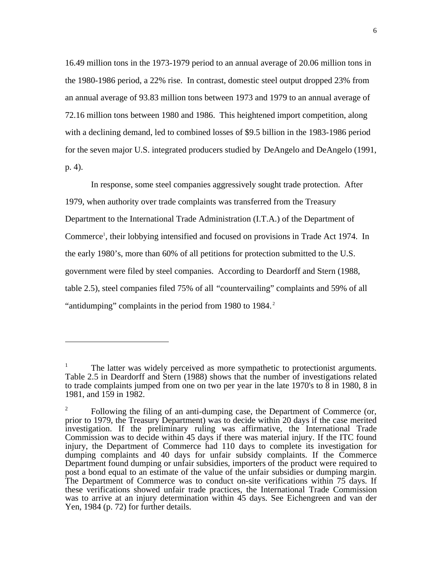16.49 million tons in the 1973-1979 period to an annual average of 20.06 million tons in the 1980-1986 period, a 22% rise. In contrast, domestic steel output dropped 23% from an annual average of 93.83 million tons between 1973 and 1979 to an annual average of 72.16 million tons between 1980 and 1986. This heightened import competition, along with a declining demand, led to combined losses of \$9.5 billion in the 1983-1986 period for the seven major U.S. integrated producers studied by DeAngelo and DeAngelo (1991, p. 4).

In response, some steel companies aggressively sought trade protection. After 1979, when authority over trade complaints was transferred from the Treasury Department to the International Trade Administration (I.T.A.) of the Department of Commerce<sup>1</sup>, their lobbying intensified and focused on provisions in Trade Act 1974. In the early 1980's, more than 60% of all petitions for protection submitted to the U.S. government were filed by steel companies. According to Deardorff and Stern (1988, table 2.5), steel companies filed 75% of all "countervailing" complaints and 59% of all "antidumping" complaints in the period from 1980 to 1984.<sup>2</sup>

 $\overline{a}$ 

<sup>&</sup>lt;sup>1</sup> The latter was widely perceived as more sympathetic to protectionist arguments. Table 2.5 in Deardorff and Stern (1988) shows that the number of investigations related to trade complaints jumped from one on two per year in the late 1970's to 8 in 1980, 8 in 1981, and 159 in 1982.

 $2^2$  Following the filing of an anti-dumping case, the Department of Commerce (or, prior to 1979, the Treasury Department) was to decide within 20 days if the case merited investigation. If the preliminary ruling was affirmative, the International Trade Commission was to decide within 45 days if there was material injury. If the ITC found injury, the Department of Commerce had 110 days to complete its investigation for dumping complaints and 40 days for unfair subsidy complaints. If the Commerce Department found dumping or unfair subsidies, importers of the product were required to post a bond equal to an estimate of the value of the unfair subsidies or dumping margin. The Department of Commerce was to conduct on-site verifications within 75 days. If these verifications showed unfair trade practices, the International Trade Commission was to arrive at an injury determination within 45 days. See Eichengreen and van der Yen, 1984 (p. 72) for further details.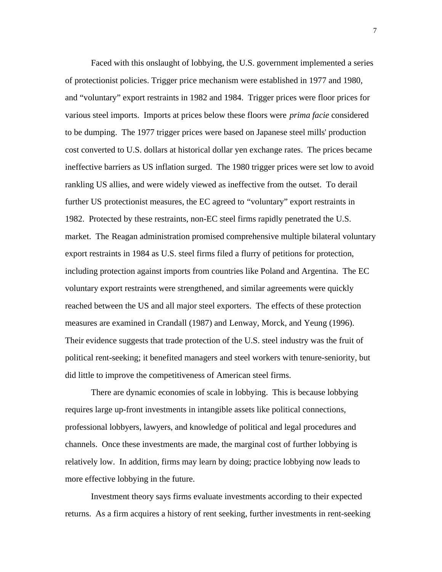Faced with this onslaught of lobbying, the U.S. government implemented a series of protectionist policies. Trigger price mechanism were established in 1977 and 1980, and "voluntary" export restraints in 1982 and 1984. Trigger prices were floor prices for various steel imports. Imports at prices below these floors were *prima facie* considered to be dumping. The 1977 trigger prices were based on Japanese steel mills' production cost converted to U.S. dollars at historical dollar yen exchange rates. The prices became ineffective barriers as US inflation surged. The 1980 trigger prices were set low to avoid rankling US allies, and were widely viewed as ineffective from the outset. To derail further US protectionist measures, the EC agreed to "voluntary" export restraints in 1982. Protected by these restraints, non-EC steel firms rapidly penetrated the U.S. market. The Reagan administration promised comprehensive multiple bilateral voluntary export restraints in 1984 as U.S. steel firms filed a flurry of petitions for protection, including protection against imports from countries like Poland and Argentina. The EC voluntary export restraints were strengthened, and similar agreements were quickly reached between the US and all major steel exporters. The effects of these protection measures are examined in Crandall (1987) and Lenway, Morck, and Yeung (1996). Their evidence suggests that trade protection of the U.S. steel industry was the fruit of political rent-seeking; it benefited managers and steel workers with tenure-seniority, but did little to improve the competitiveness of American steel firms.

There are dynamic economies of scale in lobbying. This is because lobbying requires large up-front investments in intangible assets like political connections, professional lobbyers, lawyers, and knowledge of political and legal procedures and channels. Once these investments are made, the marginal cost of further lobbying is relatively low. In addition, firms may learn by doing; practice lobbying now leads to more effective lobbying in the future.

Investment theory says firms evaluate investments according to their expected returns. As a firm acquires a history of rent seeking, further investments in rent-seeking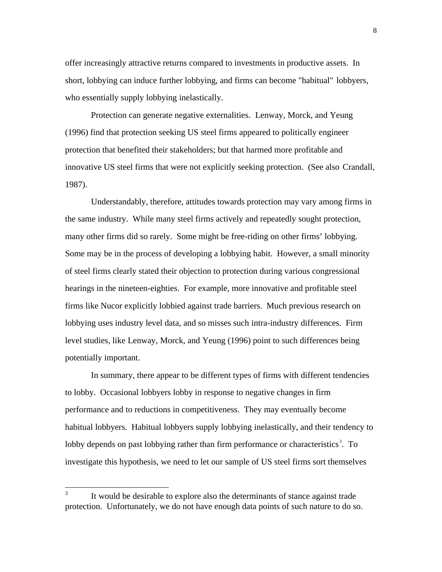offer increasingly attractive returns compared to investments in productive assets. In short, lobbying can induce further lobbying, and firms can become "habitual" lobbyers, who essentially supply lobbying inelastically.

Protection can generate negative externalities. Lenway, Morck, and Yeung (1996) find that protection seeking US steel firms appeared to politically engineer protection that benefited their stakeholders; but that harmed more profitable and innovative US steel firms that were not explicitly seeking protection. (See also Crandall, 1987).

Understandably, therefore, attitudes towards protection may vary among firms in the same industry. While many steel firms actively and repeatedly sought protection, many other firms did so rarely. Some might be free-riding on other firms' lobbying. Some may be in the process of developing a lobbying habit. However, a small minority of steel firms clearly stated their objection to protection during various congressional hearings in the nineteen-eighties. For example, more innovative and profitable steel firms like Nucor explicitly lobbied against trade barriers. Much previous research on lobbying uses industry level data, and so misses such intra-industry differences. Firm level studies, like Lenway, Morck, and Yeung (1996) point to such differences being potentially important.

In summary, there appear to be different types of firms with different tendencies to lobby. Occasional lobbyers lobby in response to negative changes in firm performance and to reductions in competitiveness. They may eventually become habitual lobbyers. Habitual lobbyers supply lobbying inelastically, and their tendency to lobby depends on past lobbying rather than firm performance or characteristics<sup>3</sup>. To investigate this hypothesis, we need to let our sample of US steel firms sort themselves

 3 It would be desirable to explore also the determinants of stance against trade protection. Unfortunately, we do not have enough data points of such nature to do so.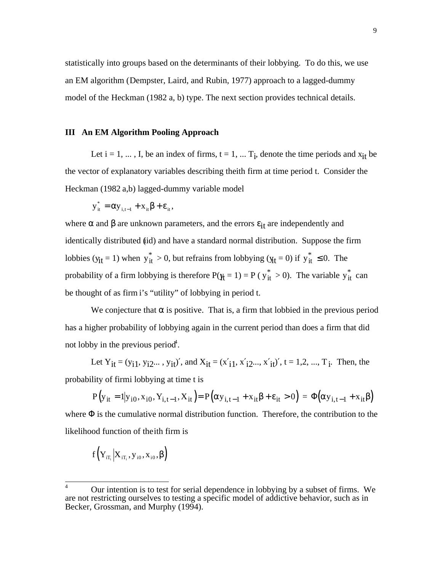statistically into groups based on the determinants of their lobbying. To do this, we use an EM algorithm (Dempster, Laird, and Rubin, 1977) approach to a lagged-dummy model of the Heckman (1982 a, b) type. The next section provides technical details.

#### **III An EM Algorithm Pooling Approach**

Let  $i = 1, ..., I$ , be an index of firms,  $t = 1, ..., T_i$ , denote the time periods and  $x_{it}$  be the vector of explanatory variables describing the ith firm at time period t. Consider the Heckman (1982 a,b) lagged-dummy variable model

$$
y_{it}^* = \alpha y_{i,t-1} + x_{it} \beta + \varepsilon_{it},
$$

where  $\alpha$  and  $\beta$  are unknown parameters, and the errors  $\varepsilon_{it}$  are independently and identically distributed (id) and have a standard normal distribution. Suppose the firm lobbies ( $y_{it} = 1$ ) when  $y_{it}^* > 0$ , but refrains from lobbying ( $y_{it} = 0$ ) if  $y_{it}^* \le 0$ . The probability of a firm lobbying is therefore  $P(\mathbf{y}_t = 1) = P$  ( $y_{it}^* > 0$ ). The variable  $y_{it}^*$  can be thought of as firm i's "utility" of lobbying in period t.

We conjecture that  $\alpha$  is positive. That is, a firm that lobbied in the previous period has a higher probability of lobbying again in the current period than does a firm that did not lobby in the previous period<sup>4</sup>.

Let  $Y_{it} = (y_{i1}, y_{i2}, \ldots, y_{it})'$ , and  $X_{it} = (x'_{i1}, x'_{i2}, \ldots, x'_{it})'$ ,  $t = 1, 2, \ldots, T_i$ . Then, the probability of firmi lobbying at time t is

 $P(y_{it} = 1 | y_{i0}, x_{i0}, Y_{i,t-1}, X_{it}) = P(\alpha y_{i,t-1} + x_{it} \beta + \varepsilon_{it} > 0) = \Phi(\alpha y_{i,t-1} + x_{it} \beta)$ where  $\Phi$  is the cumulative normal distribution function. Therefore, the contribution to the likelihood function of the ith firm is

$$
f\left(Y_{iT_i}\Big|X_{iT_i},y_{i0},x_{i0},\beta\right)
$$

 $\overline{4}$ <sup>4</sup> Our intention is to test for serial dependence in lobbying by a subset of firms. We are not restricting ourselves to testing a specific model of addictive behavior, such as in Becker, Grossman, and Murphy (1994).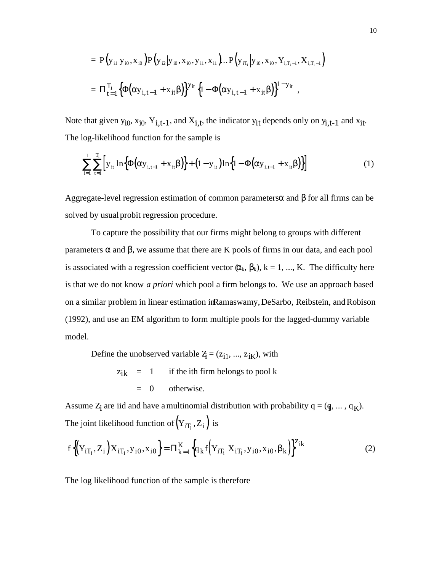$$
= P(y_{i1}|y_{i0}, x_{i0}) P(y_{i2}|y_{i0}, x_{i0}, y_{i1}, x_{i1})... P(y_{iT_i}|y_{i0}, x_{i0}, Y_{i,T_i-1}, X_{i,T_i-1})
$$
  

$$
= \Pi_{t=1}^{T_i} \Big\{ \Phi(\alpha y_{i,t-1} + x_{it} \beta) \Big\}^{y_{it}} \Big\{ 1 - \Phi(\alpha y_{i,t-1} + x_{it} \beta) \Big\}^{1 - y_{it}} ,
$$

Note that given  $y_{i0}$ ,  $x_{i0}$ ,  $Y_{i,t-1}$ , and  $X_{i,t}$ , the indicator  $y_{it}$  depends only on  $y_{i,t-1}$  and  $x_{it}$ . The log-likelihood function for the sample is

$$
\sum_{i=1}^{I} \sum_{t=1}^{T_i} \left[ y_{it} \ln \left\{ \Phi(\alpha y_{i,t-1} + x_{it} \beta) \right\} + (1 - y_{it}) \ln \left\{ 1 - \Phi(\alpha y_{i,t-1} + x_{it} \beta) \right\} \right]
$$
(1)

Aggregate-level regression estimation of common parameters  $\alpha$  and  $\beta$  for all firms can be solved by usual probit regression procedure.

To capture the possibility that our firms might belong to groups with different parameters  $\alpha$  and  $\beta$ , we assume that there are K pools of firms in our data, and each pool is associated with a regression coefficient vector  $(\alpha_k, \beta_k)$ ,  $k = 1, ..., K$ . The difficulty here is that we do not know *a priori* which pool a firm belongs to. We use an approach based on a similar problem in linear estimation in Ramaswamy, DeSarbo, Reibstein, and Robison (1992), and use an EM algorithm to form multiple pools for the lagged-dummy variable model.

Define the unobserved variable  $Z_i = (z_{i1}, ..., z_{iK})$ , with

$$
z_{ik} = 1
$$
 if the ith firm belongs to pool k  
= 0 otherwise.

Assume  $Z_i$  are iid and have a multinomial distribution with probability  $q = (q, ..., q_K)$ . The joint likelihood function of  $(Y_{iT_i}, Z_i)$  is

$$
f\left\{ \left(Y_{iT_i}, Z_i\right) \middle| X_{iT_i}, y_{i0}, x_{i0} \right\} = \Pi_{k=1}^{K} \left\{ q_k f\left(Y_{iT_i} \middle| X_{iT_i}, y_{i0}, x_{i0}, \beta_k \right) \right\}^{Z_{ik}}
$$
(2)

The log likelihood function of the sample is therefore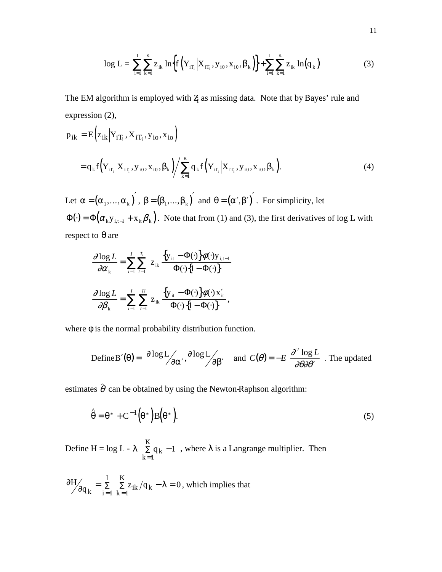$$
\log L = \sum_{i=1}^{I} \sum_{k=1}^{K} z_{ik} \ln \left\{ f\left(Y_{iT_i} \middle| X_{iT_i}, y_{i0}, x_{i0}, \beta_k \right) \right\} + \sum_{i=1}^{I} \sum_{k=1}^{K} z_{ik} \ln(q_k)
$$
(3)

The EM algorithm is employed with  $Z_i$  as missing data. Note that by Bayes' rule and expression (2),

$$
p_{ik} = E\left(z_{ik}|Y_{iT_i}, X_{iT_i}, y_{io}, x_{io}\right)
$$
  
=  $q_k f\left(Y_{iT_i}|X_{iT_i}, y_{io}, x_{io}, \beta_k\right) / \sum_{k=1}^{K} q_k f\left(Y_{iT_i}|X_{iT_i}, y_{io}, x_{io}, \beta_k\right).$  (4)

Let  $\alpha = (\alpha_1, ..., \alpha_k)$ ,  $\beta = (\beta_1, ..., \beta_k)$  and  $\theta = (\alpha', \beta')$ . For simplicity, let  $\Phi(\cdot) = \Phi(\alpha_k y_{i,t-1} + x_{it} \beta_k)$ . Note that from (1) and (3), the first derivatives of log L with respect to  $θ$  are

$$
\frac{\partial \log L}{\partial \alpha_{k}} = \sum_{i=1}^{I} \sum_{t=1}^{T_{i}} z_{ik} \frac{\left\{y_{it} - \Phi(\cdot)\right\} \phi(\cdot) y_{i,t-1}}{\Phi(\cdot) \left\{1 - \Phi(\cdot)\right\}}
$$

$$
\frac{\partial \log L}{\partial \beta_{k}} = \sum_{i=1}^{I} \sum_{t=1}^{T_{i}} z_{ik} \frac{\left\{y_{it} - \Phi(\cdot)\right\} \phi(\cdot) x_{it}'}{\Phi(\cdot) \left\{1 - \Phi(\cdot)\right\}},
$$

where  $\phi$  is the normal probability distribution function.

Define B'(\theta) = 
$$
\left[\frac{\partial \log L}{\partial \alpha'}, \frac{\partial \log L}{\partial \beta'}\right]
$$
 and  $C(\theta) = -E\left[\frac{\partial^2 \log L}{\partial \theta \partial \theta'}\right]$ . The updated  
estimates  $\hat{\theta}$  can be obtained by using the Newton-Raphson algorithm:

$$
\hat{\theta} = \theta^* + C^{-1}(\theta^*)B(\theta^*).
$$
\n(5)

Define H = log L -  $\lambda \sum q_k$ k  $\left( \begin{array}{c} K \\ \Sigma \neq k \end{array} \right)$  $\begin{pmatrix} K \\ \sum q_k - 1 \\ k = 1 \end{pmatrix}$ 1 , where  $\lambda$  is a Langrange multiplier. Then

 $\frac{\partial H}{\partial q_k} = \sum_{i=1}^L \sum_{k=1}^R z_{ik} / q_k - \lambda$ K i  $=\sum_{i=1}^{N} \sum_{i=1}^{K} z_{ik} / q_k - \lambda =$ = ∑ =  $\Sigma \quad \Sigma z_{ik}/q_k - \lambda = 0$  $1 k=1$ , which implies that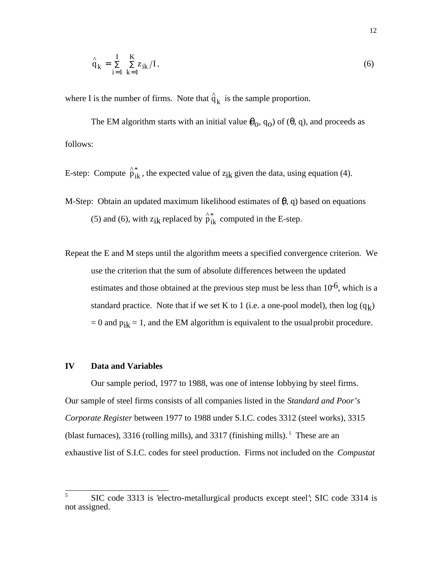$$
\hat{q}_{k} = \sum_{i=1}^{I} \sum_{k=1}^{K} z_{ik} / I,
$$
\n(6)

where I is the number of firms. Note that  $\hat{q}_k$  is the sample proportion.

The EM algorithm starts with an initial value  $\theta_0$ ,  $q_0$ ) of ( $\theta$ , q), and proceeds as follows:

- E-step: Compute  $\hat{p}_{ik}^*$ , the expected value of  $z_{ik}$  given the data, using equation (4).
- M-Step: Obtain an updated maximum likelihood estimates of  $(\theta, q)$  based on equations (5) and (6), with  $z_{ik}$  replaced by  $\hat{p}_{ik}^*$  computed in the E-step.
- Repeat the E and M steps until the algorithm meets a specified convergence criterion. We use the criterion that the sum of absolute differences between the updated estimates and those obtained at the previous step must be less than  $10^{-6}$ , which is a standard practice. Note that if we set K to 1 (i.e. a one-pool model), then  $log(q_k)$  $= 0$  and  $p_{ik} = 1$ , and the EM algorithm is equivalent to the usual probit procedure.

#### **IV Data and Variables**

Our sample period, 1977 to 1988, was one of intense lobbying by steel firms. Our sample of steel firms consists of all companies listed in the *Standard and Poor's Corporate Register* between 1977 to 1988 under S.I.C. codes 3312 (steel works), 3315 (blast furnaces), 3316 (rolling mills), and 3317 (finishing mills).<sup>5</sup> These are an exhaustive list of S.I.C. codes for steel production. Firms not included on the *Compustat*

 $\overline{5}$ <sup>5</sup> SIC code 3313 is 'electro-metallurgical products except steel'; SIC code 3314 is not assigned.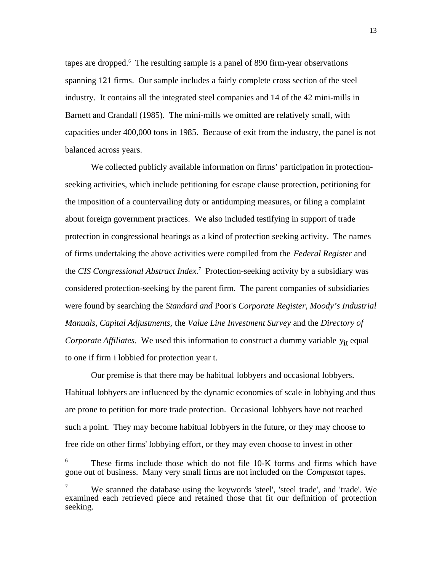tapes are dropped.<sup>6</sup> The resulting sample is a panel of 890 firm-year observations spanning 121 firms. Our sample includes a fairly complete cross section of the steel industry. It contains all the integrated steel companies and 14 of the 42 mini-mills in Barnett and Crandall (1985). The mini-mills we omitted are relatively small, with capacities under 400,000 tons in 1985. Because of exit from the industry, the panel is not balanced across years.

We collected publicly available information on firms' participation in protectionseeking activities, which include petitioning for escape clause protection, petitioning for the imposition of a countervailing duty or antidumping measures, or filing a complaint about foreign government practices. We also included testifying in support of trade protection in congressional hearings as a kind of protection seeking activity. The names of firms undertaking the above activities were compiled from the *Federal Register* and the *CIS Congressional Abstract Index.*<sup>7</sup> Protection-seeking activity by a subsidiary was considered protection-seeking by the parent firm. The parent companies of subsidiaries were found by searching the *Standard and* Poor's *Corporate Register, Moody's Industrial Manuals, Capital Adjustments,* the *Value Line Investment Survey* and the *Directory of Corporate Affiliates.* We used this information to construct a dummy variable  $y_{it}$  equal to one if firm i lobbied for protection year t.

Our premise is that there may be habitual lobbyers and occasional lobbyers. Habitual lobbyers are influenced by the dynamic economies of scale in lobbying and thus are prone to petition for more trade protection. Occasional lobbyers have not reached such a point. They may become habitual lobbyers in the future, or they may choose to free ride on other firms' lobbying effort, or they may even choose to invest in other

 $\overline{a}$ 

These firms include those which do not file 10-K forms and firms which have gone out of business. Many very small firms are not included on the *Compustat* tapes.

<sup>7</sup> We scanned the database using the keywords 'steel', 'steel trade', and 'trade'. We examined each retrieved piece and retained those that fit our definition of protection seeking.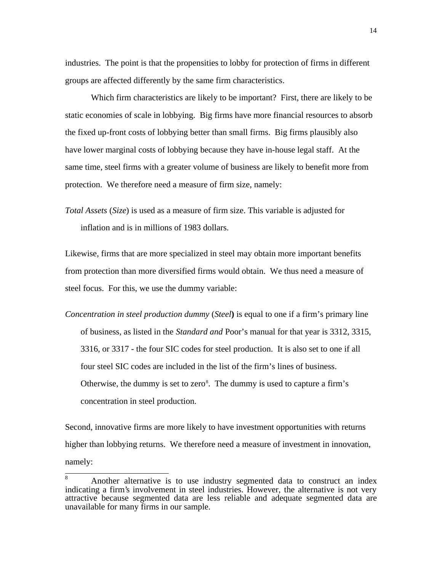industries. The point is that the propensities to lobby for protection of firms in different groups are affected differently by the same firm characteristics.

Which firm characteristics are likely to be important? First, there are likely to be static economies of scale in lobbying. Big firms have more financial resources to absorb the fixed up-front costs of lobbying better than small firms. Big firms plausibly also have lower marginal costs of lobbying because they have in-house legal staff. At the same time, steel firms with a greater volume of business are likely to benefit more from protection. We therefore need a measure of firm size, namely:

*Total Assets* (*Size*) is used as a measure of firm size. This variable is adjusted for inflation and is in millions of 1983 dollars.

Likewise, firms that are more specialized in steel may obtain more important benefits from protection than more diversified firms would obtain. We thus need a measure of steel focus. For this, we use the dummy variable:

*Concentration in steel production dummy* (*Steel***)** is equal to one if a firm's primary line of business, as listed in the *Standard and* Poor's manual for that year is 3312, 3315, 3316, or 3317 - the four SIC codes for steel production. It is also set to one if all four steel SIC codes are included in the list of the firm's lines of business. Otherwise, the dummy is set to zero $\delta$ . The dummy is used to capture a firm's concentration in steel production.

Second, innovative firms are more likely to have investment opportunities with returns higher than lobbying returns. We therefore need a measure of investment in innovation, namely:

<sup>8</sup> Another alternative is to use industry segmented data to construct an index indicating a firm's involvement in steel industries. However, the alternative is not very attractive because segmented data are less reliable and adequate segmented data are unavailable for many firms in our sample.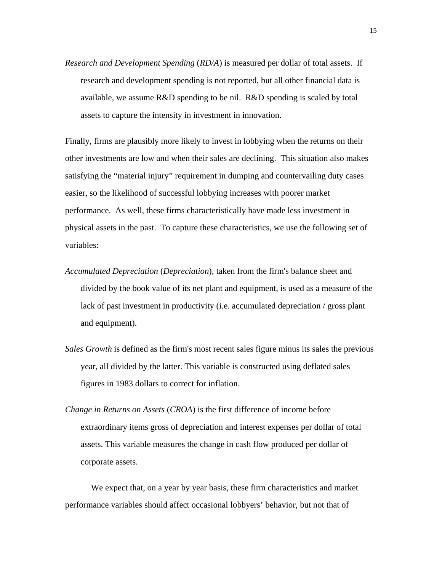*Research and Development Spending* (*RD/A*) is measured per dollar of total assets. If research and development spending is not reported, but all other financial data is available, we assume R&D spending to be nil. R&D spending is scaled by total assets to capture the intensity in investment in innovation.

Finally, firms are plausibly more likely to invest in lobbying when the returns on their other investments are low and when their sales are declining. This situation also makes satisfying the "material injury" requirement in dumping and countervailing duty cases easier, so the likelihood of successful lobbying increases with poorer market performance. As well, these firms characteristically have made less investment in physical assets in the past. To capture these characteristics, we use the following set of variables:

- *Accumulated Depreciation* (*Depreciation*)*,* taken from the firm's balance sheet and divided by the book value of its net plant and equipment, is used as a measure of the lack of past investment in productivity (i.e. accumulated depreciation / gross plant and equipment).
- *Sales Growth* is defined as the firm's most recent sales figure minus its sales the previous year, all divided by the latter. This variable is constructed using deflated sales figures in 1983 dollars to correct for inflation.
- *Change in Returns on Assets* (*CROA*) is the first difference of income before extraordinary items gross of depreciation and interest expenses per dollar of total assets. This variable measures the change in cash flow produced per dollar of corporate assets.

We expect that, on a year by year basis, these firm characteristics and market performance variables should affect occasional lobbyers' behavior, but not that of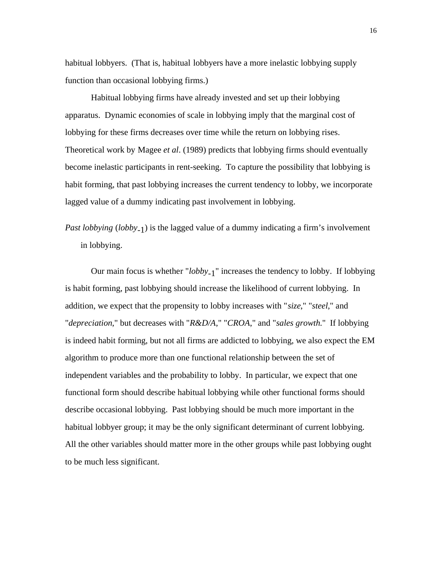habitual lobbyers. (That is, habitual lobbyers have a more inelastic lobbying supply function than occasional lobbying firms.)

Habitual lobbying firms have already invested and set up their lobbying apparatus. Dynamic economies of scale in lobbying imply that the marginal cost of lobbying for these firms decreases over time while the return on lobbying rises. Theoretical work by Magee *et al*. (1989) predicts that lobbying firms should eventually become inelastic participants in rent-seeking. To capture the possibility that lobbying is habit forming, that past lobbying increases the current tendency to lobby, we incorporate lagged value of a dummy indicating past involvement in lobbying.

*Past lobbying* (*lobby*-1) is the lagged value of a dummy indicating a firm's involvement in lobbying.

Our main focus is whether "*lobby*-1" increases the tendency to lobby. If lobbying is habit forming, past lobbying should increase the likelihood of current lobbying. In addition, we expect that the propensity to lobby increases with "*size*," "*steel*," and "*depreciation*," but decreases with "*R&D/A*," "*CROA*," and "*sales growth*." If lobbying is indeed habit forming, but not all firms are addicted to lobbying, we also expect the EM algorithm to produce more than one functional relationship between the set of independent variables and the probability to lobby. In particular, we expect that one functional form should describe habitual lobbying while other functional forms should describe occasional lobbying. Past lobbying should be much more important in the habitual lobbyer group; it may be the only significant determinant of current lobbying. All the other variables should matter more in the other groups while past lobbying ought to be much less significant.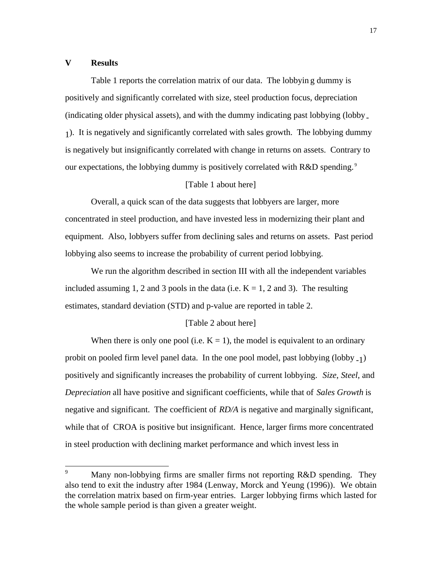#### **V Results**

Table 1 reports the correlation matrix of our data. The lobbyin g dummy is positively and significantly correlated with size, steel production focus, depreciation (indicating older physical assets), and with the dummy indicating past lobbying (lobby-1). It is negatively and significantly correlated with sales growth. The lobbying dummy is negatively but insignificantly correlated with change in returns on assets. Contrary to our expectations, the lobbying dummy is positively correlated with R&D spending.<sup>9</sup>

#### [Table 1 about here]

Overall, a quick scan of the data suggests that lobbyers are larger, more concentrated in steel production, and have invested less in modernizing their plant and equipment. Also, lobbyers suffer from declining sales and returns on assets. Past period lobbying also seems to increase the probability of current period lobbying.

We run the algorithm described in section III with all the independent variables included assuming 1, 2 and 3 pools in the data (i.e.  $K = 1$ , 2 and 3). The resulting estimates, standard deviation (STD) and p-value are reported in table 2.

#### [Table 2 about here]

When there is only one pool (i.e.  $K = 1$ ), the model is equivalent to an ordinary probit on pooled firm level panel data. In the one pool model, past lobbying  $(lobby_{-1})$ positively and significantly increases the probability of current lobbying. *Size*, *Steel*, and *Depreciation* all have positive and significant coefficients, while that of *Sales Growth* is negative and significant. The coefficient of *RD/A* is negative and marginally significant, while that of CROA is positive but insignificant. Hence, larger firms more concentrated in steel production with declining market performance and which invest less in

<sup>9</sup> Many non-lobbying firms are smaller firms not reporting R&D spending. They also tend to exit the industry after 1984 (Lenway, Morck and Yeung (1996)). We obtain the correlation matrix based on firm-year entries. Larger lobbying firms which lasted for the whole sample period is than given a greater weight.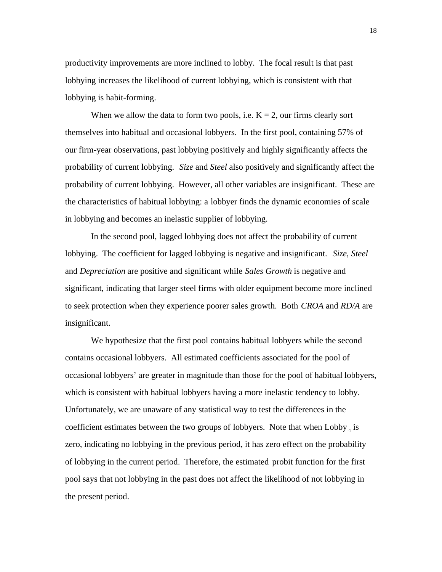productivity improvements are more inclined to lobby. The focal result is that past lobbying increases the likelihood of current lobbying, which is consistent with that lobbying is habit-forming.

When we allow the data to form two pools, i.e.  $K = 2$ , our firms clearly sort themselves into habitual and occasional lobbyers. In the first pool, containing 57% of our firm-year observations, past lobbying positively and highly significantly affects the probability of current lobbying. *Size* and *Steel* also positively and significantly affect the probability of current lobbying. However, all other variables are insignificant. These are the characteristics of habitual lobbying: a lobbyer finds the dynamic economies of scale in lobbying and becomes an inelastic supplier of lobbying.

In the second pool, lagged lobbying does not affect the probability of current lobbying. The coefficient for lagged lobbying is negative and insignificant. *Size*, *Steel* and *Depreciation* are positive and significant while *Sales Growth* is negative and significant, indicating that larger steel firms with older equipment become more inclined to seek protection when they experience poorer sales growth. Both *CROA* and *RD/A* are insignificant.

We hypothesize that the first pool contains habitual lobbyers while the second contains occasional lobbyers. All estimated coefficients associated for the pool of occasional lobbyers' are greater in magnitude than those for the pool of habitual lobbyers, which is consistent with habitual lobbyers having a more inelastic tendency to lobby. Unfortunately, we are unaware of any statistical way to test the differences in the coefficient estimates between the two groups of lobbyers. Note that when  $Lobby_{1}$  is zero, indicating no lobbying in the previous period, it has zero effect on the probability of lobbying in the current period. Therefore, the estimated probit function for the first pool says that not lobbying in the past does not affect the likelihood of not lobbying in the present period.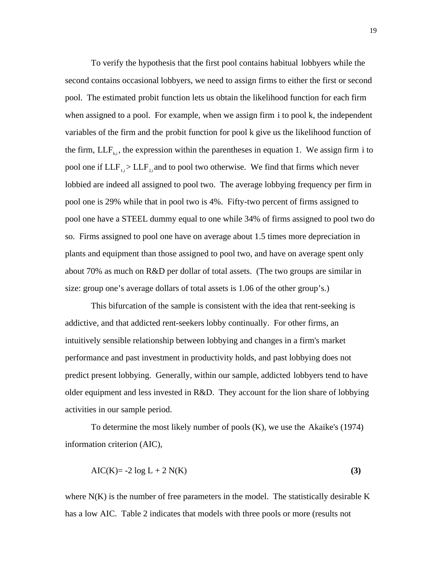To verify the hypothesis that the first pool contains habitual lobbyers while the second contains occasional lobbyers, we need to assign firms to either the first or second pool. The estimated probit function lets us obtain the likelihood function for each firm when assigned to a pool. For example, when we assign firm i to pool k, the independent variables of the firm and the probit function for pool k give us the likelihood function of the firm,  $LLF_{k,i}$ , the expression within the parentheses in equation 1. We assign firm i to pool one if  $LLF_{1,i}$  >  $LLF_{2,i}$  and to pool two otherwise. We find that firms which never lobbied are indeed all assigned to pool two. The average lobbying frequency per firm in pool one is 29% while that in pool two is 4%. Fifty-two percent of firms assigned to pool one have a STEEL dummy equal to one while 34% of firms assigned to pool two do so. Firms assigned to pool one have on average about 1.5 times more depreciation in plants and equipment than those assigned to pool two, and have on average spent only about 70% as much on R&D per dollar of total assets. (The two groups are similar in size: group one's average dollars of total assets is 1.06 of the other group's.)

This bifurcation of the sample is consistent with the idea that rent-seeking is addictive, and that addicted rent-seekers lobby continually. For other firms, an intuitively sensible relationship between lobbying and changes in a firm's market performance and past investment in productivity holds, and past lobbying does not predict present lobbying. Generally, within our sample, addicted lobbyers tend to have older equipment and less invested in R&D. They account for the lion share of lobbying activities in our sample period.

To determine the most likely number of pools (K), we use the Akaike's (1974) information criterion (AIC),

$$
AIC(K) = -2 \log L + 2 N(K)
$$
\n(3)

where  $N(K)$  is the number of free parameters in the model. The statistically desirable K has a low AIC. Table 2 indicates that models with three pools or more (results not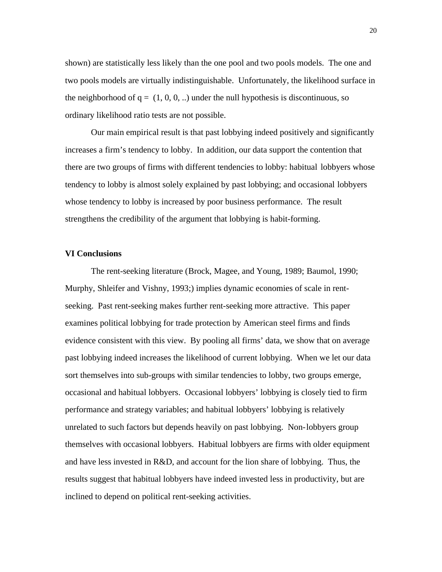shown) are statistically less likely than the one pool and two pools models. The one and two pools models are virtually indistinguishable. Unfortunately, the likelihood surface in the neighborhood of  $q = (1, 0, 0, ...)$  under the null hypothesis is discontinuous, so ordinary likelihood ratio tests are not possible.

Our main empirical result is that past lobbying indeed positively and significantly increases a firm's tendency to lobby. In addition, our data support the contention that there are two groups of firms with different tendencies to lobby: habitual lobbyers whose tendency to lobby is almost solely explained by past lobbying; and occasional lobbyers whose tendency to lobby is increased by poor business performance. The result strengthens the credibility of the argument that lobbying is habit-forming.

#### **VI Conclusions**

The rent-seeking literature (Brock, Magee, and Young, 1989; Baumol, 1990; Murphy, Shleifer and Vishny, 1993;) implies dynamic economies of scale in rentseeking. Past rent-seeking makes further rent-seeking more attractive. This paper examines political lobbying for trade protection by American steel firms and finds evidence consistent with this view. By pooling all firms' data, we show that on average past lobbying indeed increases the likelihood of current lobbying. When we let our data sort themselves into sub-groups with similar tendencies to lobby, two groups emerge, occasional and habitual lobbyers. Occasional lobbyers' lobbying is closely tied to firm performance and strategy variables; and habitual lobbyers' lobbying is relatively unrelated to such factors but depends heavily on past lobbying. Non-lobbyers group themselves with occasional lobbyers. Habitual lobbyers are firms with older equipment and have less invested in R&D, and account for the lion share of lobbying. Thus, the results suggest that habitual lobbyers have indeed invested less in productivity, but are inclined to depend on political rent-seeking activities.

20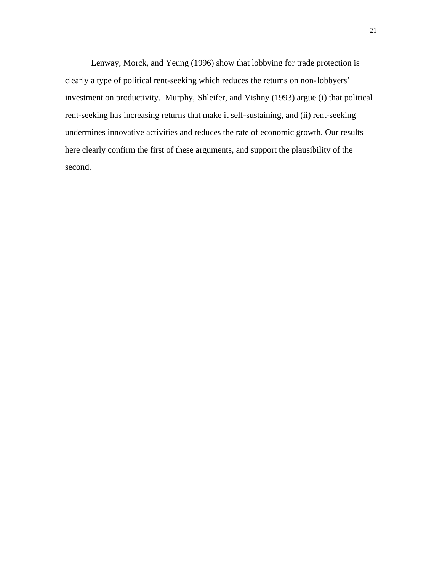Lenway, Morck, and Yeung (1996) show that lobbying for trade protection is clearly a type of political rent-seeking which reduces the returns on non-lobbyers' investment on productivity. Murphy, Shleifer, and Vishny (1993) argue (i) that political rent-seeking has increasing returns that make it self-sustaining, and (ii) rent-seeking undermines innovative activities and reduces the rate of economic growth. Our results here clearly confirm the first of these arguments, and support the plausibility of the second.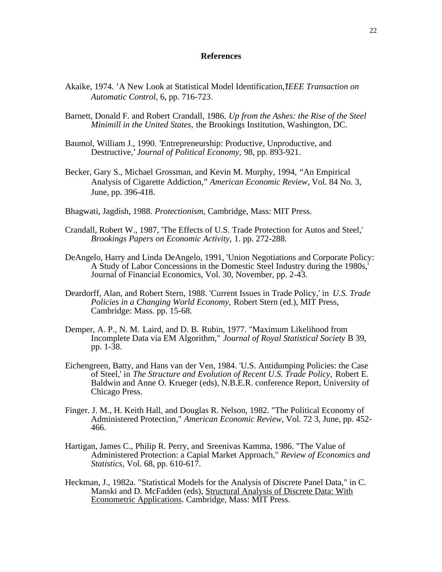#### **References**

- Akaike, 1974. 'A New Look at Statistical Model Identification,*'IEEE Transaction on Automatic Control*, 6, pp. 716-723.
- Barnett, Donald F. and Robert Crandall, 1986. *Up from the Ashes: the Rise of the Steel Minimill in the United States,* the Brookings Institution, Washington, DC.
- Baumol, William J., 1990. 'Entrepreneurship: Productive, Unproductive, and Destructive,' *Journal of Political Economy,* 98, pp. 893-921.
- Becker, Gary S., Michael Grossman, and Kevin M. Murphy, 1994, "An Empirical Analysis of Cigarette Addiction," *American Economic Review*, Vol. 84 No. 3, June, pp. 396-418.
- Bhagwati, Jagdish, 1988. *Protectionism,* Cambridge, Mass: MIT Press.
- Crandall, Robert W., 1987, 'The Effects of U.S. Trade Protection for Autos and Steel,' *Brookings Papers on Economic Activity,* 1. pp. 272-288.
- DeAngelo, Harry and Linda DeAngelo, 1991, 'Union Negotiations and Corporate Policy: A Study of Labor Concessions in the Domestic Steel Industry during the 1980s,' Journal of Financial Economics, Vol. 30, November, pp. 2-43.
- Deardorff, Alan, and Robert Stern, 1988. 'Current Issues in Trade Policy,' in *U.S. Trade Policies in a Changing World Economy,* Robert Stern (ed.), MIT Press, Cambridge: Mass. pp. 15-68.
- Demper, A. P., N. M. Laird, and D. B. Rubin, 1977. "Maximum Likelihood from Incomplete Data via EM Algorithm," *Journal of Royal Statistical Society* B 39, pp. 1-38.
- Eichengreen, Batty, and Hans van der Ven, 1984. 'U.S. Antidumping Policies: the Case of Steel,' in *The Structure and Evolution of Recent U.S. Trade Policy,* Robert E. Baldwin and Anne O. Krueger (eds), N.B.E.R. conference Report, University of Chicago Press.
- Finger. J. M., H. Keith Hall, and Douglas R. Nelson, 1982. "The Political Economy of Administered Protection," *American Economic Review*, Vol. 72 3, June, pp. 452- 466.
- Hartigan, James C., Philip R. Perry, and Sreenivas Kamma, 1986. "The Value of Administered Protection: a Capial Market Approach," *Review of Economics and Statistics,* Vol. 68, pp. 610-617.
- Heckman, J., 1982a. "Statistical Models for the Analysis of Discrete Panel Data," in C. Manski and D. McFadden (eds), Structural Analysis of Discrete Data: With Econometric Applications. Cambridge, Mass: MIT Press.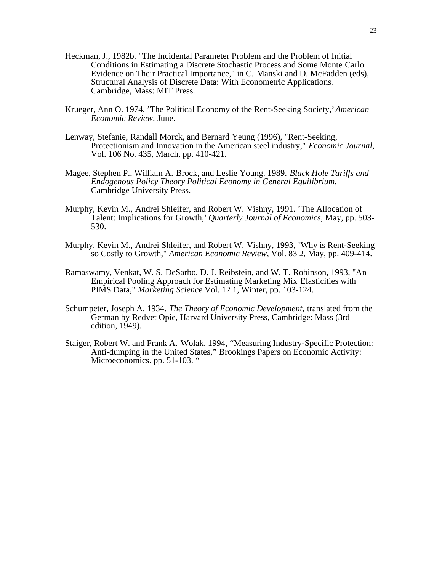- Heckman, J., 1982b. "The Incidental Parameter Problem and the Problem of Initial Conditions in Estimating a Discrete Stochastic Process and Some Monte Carlo Evidence on Their Practical Importance," in C. Manski and D. McFadden (eds), Structural Analysis of Discrete Data: With Econometric Applications. Cambridge, Mass: MIT Press.
- Krueger, Ann O. 1974. 'The Political Economy of the Rent-Seeking Society,' *American Economic Review,* June.
- Lenway, Stefanie, Randall Morck, and Bernard Yeung (1996), "Rent-Seeking, Protectionism and Innovation in the American steel industry," *Economic Journal*, Vol. 106 No. 435, March, pp. 410-421.
- Magee, Stephen P., William A. Brock, and Leslie Young. 1989. *Black Hole Tariffs and Endogenous Policy Theory Political Economy in General Equilibrium,* Cambridge University Press.
- Murphy, Kevin M., Andrei Shleifer, and Robert W. Vishny, 1991. 'The Allocation of Talent: Implications for Growth,' *Quarterly Journal of Economics,* May, pp. 503- 530.
- Murphy, Kevin M., Andrei Shleifer, and Robert W. Vishny, 1993, 'Why is Rent-Seeking so Costly to Growth," *American Economic Review*, Vol. 83 2, May, pp. 409-414.
- Ramaswamy, Venkat, W. S. DeSarbo, D. J. Reibstein, and W. T. Robinson, 1993, "An Empirical Pooling Approach for Estimating Marketing Mix Elasticities with PIMS Data," *Marketing Science* Vol. 12 1, Winter, pp. 103-124.
- Schumpeter, Joseph A. 1934. *The Theory of Economic Development,* translated from the German by Redvet Opie, Harvard University Press, Cambridge: Mass (3rd edition, 1949).
- Staiger, Robert W. and Frank A. Wolak. 1994, "Measuring Industry-Specific Protection: Anti-dumping in the United States," Brookings Papers on Economic Activity: Microeconomics. pp. 51-103. "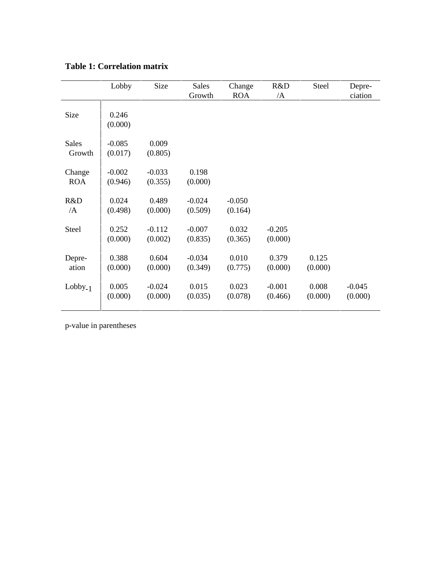| <b>Table 1: Correlation matrix</b> |
|------------------------------------|
|                                    |

|                        | Lobby               | Size                | <b>Sales</b><br>Growth | Change<br><b>ROA</b> | R&D<br>$\overline{A}$ | <b>Steel</b>     | Depre-<br>ciation   |
|------------------------|---------------------|---------------------|------------------------|----------------------|-----------------------|------------------|---------------------|
| Size                   | 0.246<br>(0.000)    |                     |                        |                      |                       |                  |                     |
| <b>Sales</b><br>Growth | $-0.085$<br>(0.017) | 0.009<br>(0.805)    |                        |                      |                       |                  |                     |
| Change<br><b>ROA</b>   | $-0.002$<br>(0.946) | $-0.033$<br>(0.355) | 0.198<br>(0.000)       |                      |                       |                  |                     |
| R&D<br>/A              | 0.024<br>(0.498)    | 0.489<br>(0.000)    | $-0.024$<br>(0.509)    | $-0.050$<br>(0.164)  |                       |                  |                     |
| <b>Steel</b>           | 0.252<br>(0.000)    | $-0.112$<br>(0.002) | $-0.007$<br>(0.835)    | 0.032<br>(0.365)     | $-0.205$<br>(0.000)   |                  |                     |
| Depre-<br>ation        | 0.388<br>(0.000)    | 0.604<br>(0.000)    | $-0.034$<br>(0.349)    | 0.010<br>(0.775)     | 0.379<br>(0.000)      | 0.125<br>(0.000) |                     |
| $Lobby_{-1}$           | 0.005<br>(0.000)    | $-0.024$<br>(0.000) | 0.015<br>(0.035)       | 0.023<br>(0.078)     | $-0.001$<br>(0.466)   | 0.008<br>(0.000) | $-0.045$<br>(0.000) |

p-value in parentheses